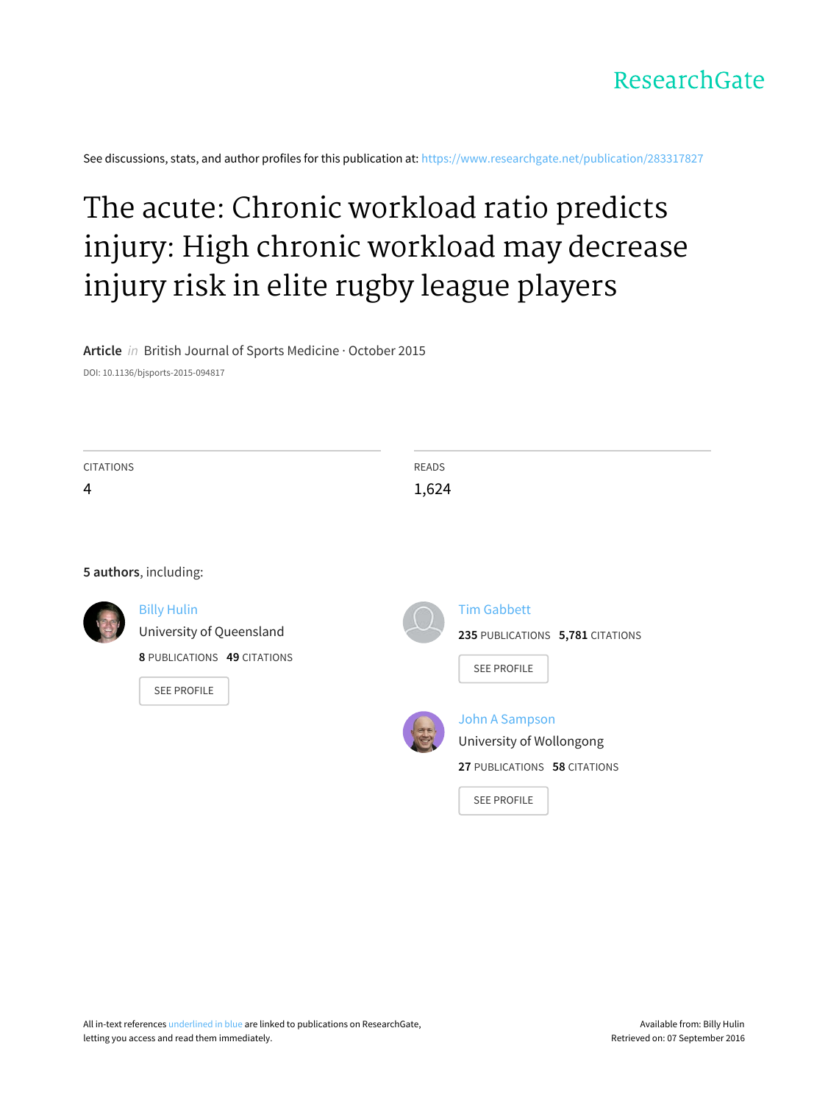

See discussions, stats, and author profiles for this publication at: [https://www.researchgate.net/publication/283317827](https://www.researchgate.net/publication/283317827_The_acute_Chronic_workload_ratio_predicts_injury_High_chronic_workload_may_decrease_injury_risk_in_elite_rugby_league_players?enrichId=rgreq-1588c96f0787f5e42f3cf61e0b1527c7-XXX&enrichSource=Y292ZXJQYWdlOzI4MzMxNzgyNztBUzoyOTEyNzYxNTE5MDIyMDhAMTQ0NjQ1NzA1NDM4OA%3D%3D&el=1_x_2)

# The acute: Chronic [workload](https://www.researchgate.net/publication/283317827_The_acute_Chronic_workload_ratio_predicts_injury_High_chronic_workload_may_decrease_injury_risk_in_elite_rugby_league_players?enrichId=rgreq-1588c96f0787f5e42f3cf61e0b1527c7-XXX&enrichSource=Y292ZXJQYWdlOzI4MzMxNzgyNztBUzoyOTEyNzYxNTE5MDIyMDhAMTQ0NjQ1NzA1NDM4OA%3D%3D&el=1_x_3) ratio predicts injury: High chronic workload may decrease injury risk in elite rugby league players

**Article** in British Journal of Sports Medicine · October 2015

DOI: 10.1136/bjsports-2015-094817

| <b>CITATIONS</b><br>4 |                             | <b>READS</b><br>1,624            |
|-----------------------|-----------------------------|----------------------------------|
|                       | 5 authors, including:       |                                  |
|                       | <b>Billy Hulin</b>          | <b>Tim Gabbett</b>               |
|                       | University of Queensland    | 235 PUBLICATIONS 5,781 CITATIONS |
|                       | 8 PUBLICATIONS 49 CITATIONS | SEE PROFILE                      |
|                       | SEE PROFILE                 |                                  |
|                       |                             | John A Sampson                   |
|                       |                             | University of Wollongong         |
|                       |                             | 27 PUBLICATIONS 58 CITATIONS     |
|                       |                             | <b>SEE PROFILE</b>               |
|                       |                             |                                  |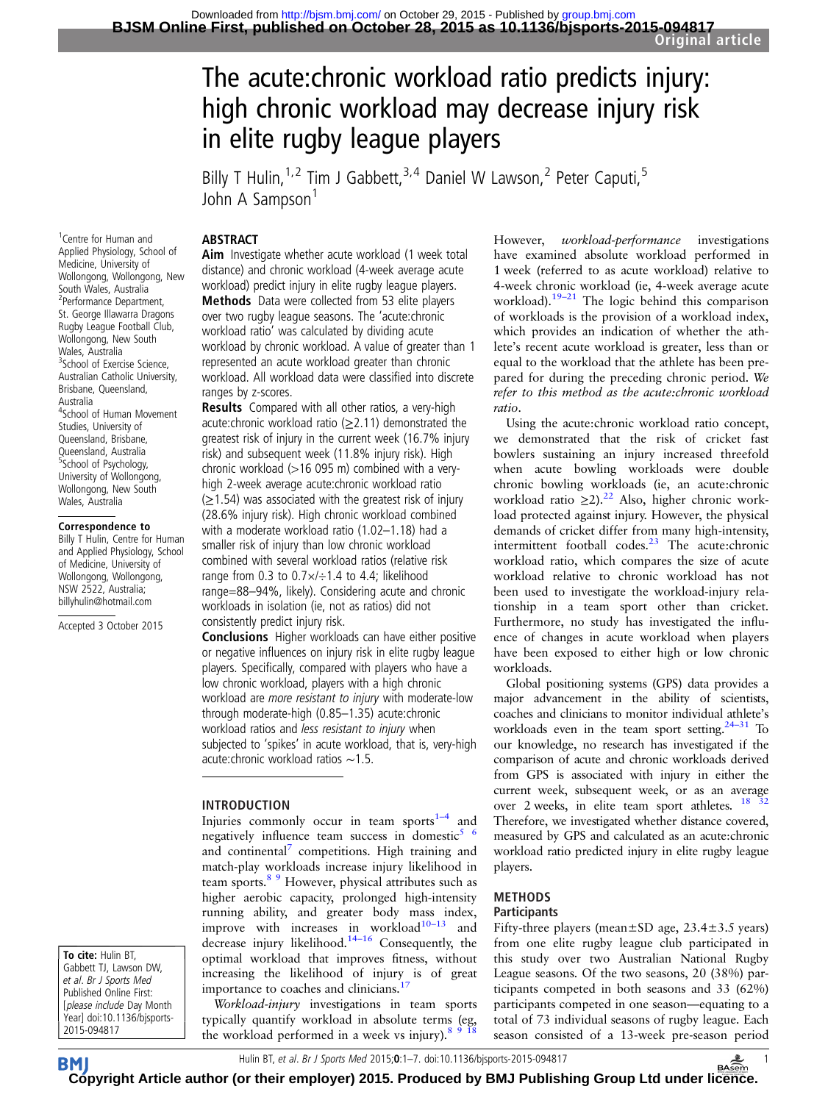## The acute:chronic workload ratio predicts injury: high chronic workload may decrease injury risk in elite rugby league players

Billy T Hulin,<sup>1,2</sup> Tim J Gabbett,<sup>3,4</sup> Daniel W Lawson,<sup>2</sup> Peter Caputi,<sup>5</sup> John A Sampson<sup>1</sup>

## ABSTRACT

1 Centre for Human and Applied Physiology, School of Medicine, University of Wollongong, Wollongong, New South Wales, Australia 2 Performance Department, St. George Illawarra Dragons Rugby League Football Club, Wollongong, New South Wales, Australia <sup>3</sup>School of Exercise Science, Australian Catholic University, Brisbane, Queensland, Australia 4 School of Human Movement Studies, University of Queensland, Brisbane. Queensland, Australia 5 School of Psychology, University of Wollongong, Wollongong, New South Wales, Australia

#### Correspondence to

Billy T Hulin, Centre for Human and Applied Physiology, School of Medicine, University of Wollongong, Wollongong, NSW 2522, Australia; billyhulin@hotmail.com

Accepted 3 October 2015

To cite: Hulin BT, Gabbett TJ, Lawson DW, et al. Br J Sports Med Published Online First: [please include Day Month Year] doi:10.1136/bjsports-2015-094817

Aim Investigate whether acute workload (1 week total distance) and chronic workload (4-week average acute workload) predict injury in elite rugby league players. **Methods** Data were collected from 53 elite players over two rugby league seasons. The 'acute:chronic workload ratio' was calculated by dividing acute workload by chronic workload. A value of greater than 1 represented an acute workload greater than chronic workload. All workload data were classified into discrete ranges by z-scores.

Results Compared with all other ratios, a very-high acute: chronic workload ratio ( $\geq$ 2.11) demonstrated the greatest risk of injury in the current week (16.7% injury risk) and subsequent week (11.8% injury risk). High chronic workload (>16 095 m) combined with a veryhigh 2-week average acute:chronic workload ratio  $(≥1.54)$  was associated with the greatest risk of injury (28.6% injury risk). High chronic workload combined with a moderate workload ratio (1.02–1.18) had a smaller risk of injury than low chronic workload combined with several workload ratios (relative risk range from 0.3 to  $0.7\times/1.4$  to 4.4; likelihood range=88–94%, likely). Considering acute and chronic workloads in isolation (ie, not as ratios) did not consistently predict injury risk.

Conclusions Higher workloads can have either positive or negative influences on injury risk in elite rugby league players. Specifically, compared with players who have a low chronic workload, players with a high chronic workload are more resistant to injury with moderate-low through moderate-high (0.85–1.35) acute:chronic workload ratios and less resistant to injury when subjected to 'spikes' in acute workload, that is, very-high acute:chronic workload ratios ∼1.5.

## INTRODUCTION

Injuries commonly occur in team sports $1-4$  $1-4$  and negatively influence team success in domestic $5/6$ and continental<sup>[7](#page-6-0)</sup> competitions. High training and match-play workloads increase injury likelihood in team sports.<sup>8</sup> <sup>9</sup> However, physical attributes such as higher aerobic capacity, prolonged high-intensity running ability, and greater body mass index, improve with increases in workload $10-13$  $10-13$  and decrease injury likelihood.<sup>[14](#page-6-0)-16</sup> Consequently, the optimal workload that improves fitness, without increasing the likelihood of injury is of great importance to coaches and clinicians.<sup>1</sup>

Workload-injury investigations in team sports typically quantify workload in absolute terms (eg, the workload performed in a week vs injury).<sup>8 9 18</sup>

However, workload-performance investigations have examined absolute workload performed in 1 week (referred to as acute workload) relative to 4-week chronic workload (ie, 4-week average acute workload).<sup>[19](#page-6-0)–21</sup> The logic behind this comparison of workloads is the provision of a workload index, which provides an indication of whether the athlete's recent acute workload is greater, less than or equal to the workload that the athlete has been prepared for during the preceding chronic period. We refer to this method as the acute:chronic workload ratio.

Using the acute:chronic workload ratio concept, we demonstrated that the risk of cricket fast bowlers sustaining an injury increased threefold when acute bowling workloads were double chronic bowling workloads (ie, an acute:chronic workload ratio  $\geq$ 2).<sup>22</sup> Also, higher chronic workload protected against injury. However, the physical demands of cricket differ from many high-intensity, intermittent football codes. $23$  The acute:chronic workload ratio, which compares the size of acute workload relative to chronic workload has not been used to investigate the workload-injury relationship in a team sport other than cricket. Furthermore, no study has investigated the influence of changes in acute workload when players have been exposed to either high or low chronic workloads.

Global positioning systems (GPS) data provides a major advancement in the ability of scientists, coaches and clinicians to monitor individual athlete's workloads even in the team sport setting. $24-31$  To our knowledge, no research has investigated if the comparison of acute and chronic workloads derived from GPS is associated with injury in either the current week, subsequent week, or as an average over 2 weeks, in elite team sport athletes.  $18$ Therefore, we investigated whether distance covered, measured by GPS and calculated as an acute:chronic workload ratio predicted injury in elite rugby league players.

#### METHODS **Participants**

Fifty-three players (mean $\pm$ SD age, 23.4 $\pm$ 3.5 years) from one elite rugby league club participated in this study over two Australian National Rugby League seasons. Of the two seasons, 20 (38%) participants competed in both seasons and 33 (62%) participants competed in one season—equating to a total of 73 individual seasons of rugby league. Each season consisted of a 13-week pre-season period

Hulin BT, et al. Br J Sports Med 2015; 0:1-7. doi:10.1136/bjsports-2015-094817 BAsem **BM [Cop](http://bjsm.bmj.com)yright Article author (or their employer) 2015. Produced by BMJ Publishing Group Ltd under li[cenc](http://www.basem.co.uk/)e.**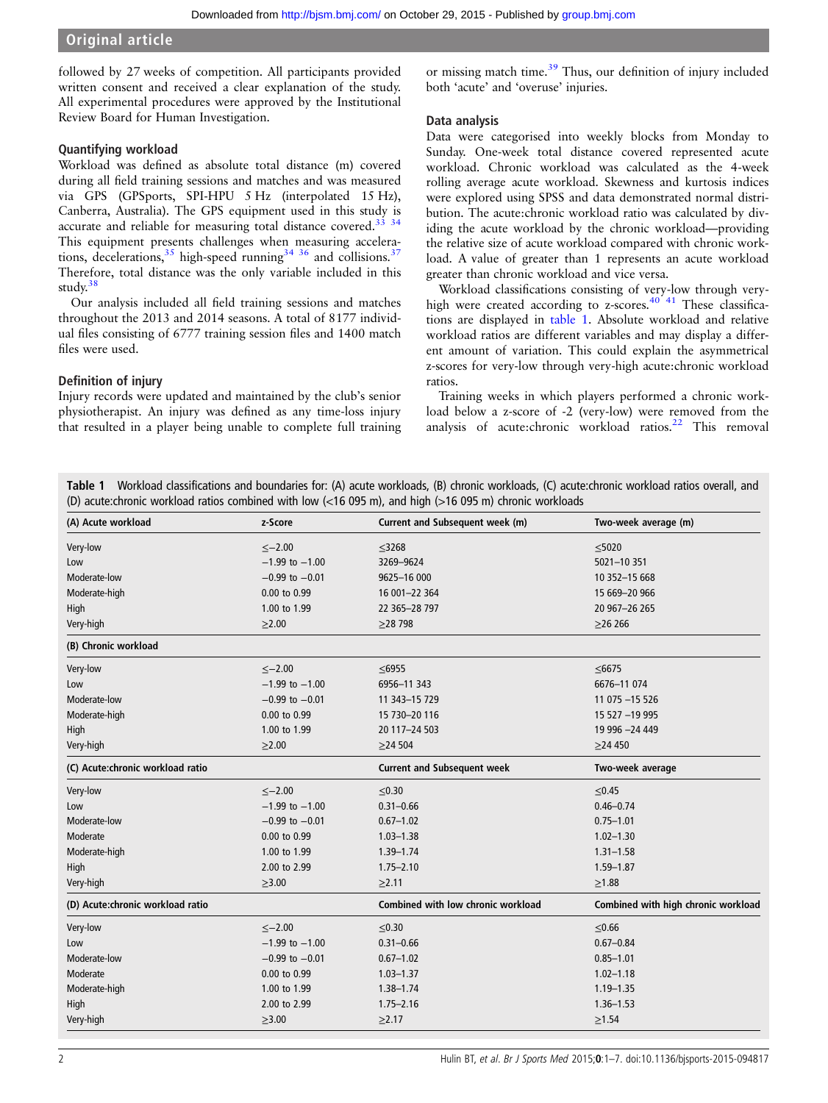## Original article

followed by 27 weeks of competition. All participants provided written consent and received a clear explanation of the study. All experimental procedures were approved by the Institutional Review Board for Human Investigation.

## Quantifying workload

Workload was defined as absolute total distance (m) covered during all field training sessions and matches and was measured via GPS (GPSports, SPI-HPU 5 Hz (interpolated 15 Hz), Canberra, Australia). The GPS equipment used in this study is accurate and reliable for measuring total distance covered.<sup>33</sup> <sup>34</sup> This equipment presents challenges when measuring accelerations, decelerations,  $35$  high-speed running  $34$   $36$  and collisions.  $37$ Therefore, total distance was the only variable included in this study.[38](#page-7-0)

Our analysis included all field training sessions and matches throughout the 2013 and 2014 seasons. A total of 8177 individual files consisting of 6777 training session files and 1400 match files were used.

## Definition of injury

Injury records were updated and maintained by the club's senior physiotherapist. An injury was defined as any time-loss injury that resulted in a player being unable to complete full training

or missing match time.<sup>[39](#page-7-0)</sup> Thus, our definition of injury included both 'acute' and 'overuse' injuries.

#### Data analysis

Data were categorised into weekly blocks from Monday to Sunday. One-week total distance covered represented acute workload. Chronic workload was calculated as the 4-week rolling average acute workload. Skewness and kurtosis indices were explored using SPSS and data demonstrated normal distribution. The acute:chronic workload ratio was calculated by dividing the acute workload by the chronic workload—providing the relative size of acute workload compared with chronic workload. A value of greater than 1 represents an acute workload greater than chronic workload and vice versa.

Workload classifications consisting of very-low through veryhigh were created according to z-scores.<sup>40 41</sup> These classifications are displayed in table 1. Absolute workload and relative workload ratios are different variables and may display a different amount of variation. This could explain the asymmetrical z-scores for very-low through very-high acute:chronic workload ratios.

Training weeks in which players performed a chronic workload below a z-score of -2 (very-low) were removed from the analysis of acute:chronic workload ratios.<sup>[22](#page-6-0)</sup> This removal

Table 1 Workload classifications and boundaries for: (A) acute workloads, (B) chronic workloads, (C) acute:chronic workload ratios overall, and (D) acute:chronic workload ratios combined with low (<16 095 m), and high (>16 095 m) chronic workloads

| (A) Acute workload               | z-Score            | Current and Subsequent week (m)    | Two-week average (m)                |
|----------------------------------|--------------------|------------------------------------|-------------------------------------|
| Very-low                         | $\le -2.00$        | $\leq 3268$                        | $\leq$ 5020                         |
| Low                              | $-1.99$ to $-1.00$ | 3269-9624                          | 5021-10 351                         |
| Moderate-low                     | $-0.99$ to $-0.01$ | 9625-16 000                        | 10 352-15 668                       |
| Moderate-high                    | 0.00 to 0.99       | 16 001-22 364                      | 15 669-20 966                       |
| High                             | 1.00 to 1.99       | 22 365-28 797                      | 20 967-26 265                       |
| Very-high                        | $\geq$ 2.00        | $\geq$ 28 798                      | $\geq$ 26 266                       |
| (B) Chronic workload             |                    |                                    |                                     |
| Very-low                         | $\le -2.00$        | $\leq 6955$                        | $\leq 6675$                         |
| Low                              | $-1.99$ to $-1.00$ | 6956-11 343                        | 6676-11 074                         |
| Moderate-low                     | $-0.99$ to $-0.01$ | 11 343-15 729                      | 11 075 -15 526                      |
| Moderate-high                    | 0.00 to 0.99       | 15 730-20 116                      | 15 527 -19 995                      |
| High                             | 1.00 to 1.99       | 20 117-24 503                      | 19 996 -24 449                      |
| Very-high                        | >2.00              | $\geq$ 24 504                      | $\geq$ 24 450                       |
| (C) Acute:chronic workload ratio |                    | <b>Current and Subsequent week</b> | Two-week average                    |
| Very-low                         | $\le -2.00$        | $\leq 0.30$                        | $\leq 0.45$                         |
| Low                              | $-1.99$ to $-1.00$ | $0.31 - 0.66$                      | $0.46 - 0.74$                       |
| Moderate-low                     | $-0.99$ to $-0.01$ | $0.67 - 1.02$                      | $0.75 - 1.01$                       |
| Moderate                         | 0.00 to 0.99       | $1.03 - 1.38$                      | $1.02 - 1.30$                       |
| Moderate-high                    | 1.00 to 1.99       | $1.39 - 1.74$                      | $1.31 - 1.58$                       |
| High                             | 2.00 to 2.99       | $1.75 - 2.10$                      | $1.59 - 1.87$                       |
| Very-high                        | $\geq$ 3.00        | $\geq$ 2.11                        | $\geq$ 1.88                         |
| (D) Acute:chronic workload ratio |                    | Combined with low chronic workload | Combined with high chronic workload |
| Very-low                         | $\le -2.00$        | $\leq 0.30$                        | $≤0.66$                             |
| Low                              | $-1.99$ to $-1.00$ | $0.31 - 0.66$                      | $0.67 - 0.84$                       |
| Moderate-low                     | $-0.99$ to $-0.01$ | $0.67 - 1.02$                      | $0.85 - 1.01$                       |
| Moderate                         | 0.00 to 0.99       | $1.03 - 1.37$                      | $1.02 - 1.18$                       |
| Moderate-high                    | 1.00 to 1.99       | $1.38 - 1.74$                      | $1.19 - 1.35$                       |
| High                             | 2.00 to 2.99       | $1.75 - 2.16$                      | $1.36 - 1.53$                       |
| Very-high                        | >3.00              | $\geq$ 2.17                        | $\geq 1.54$                         |
|                                  |                    |                                    |                                     |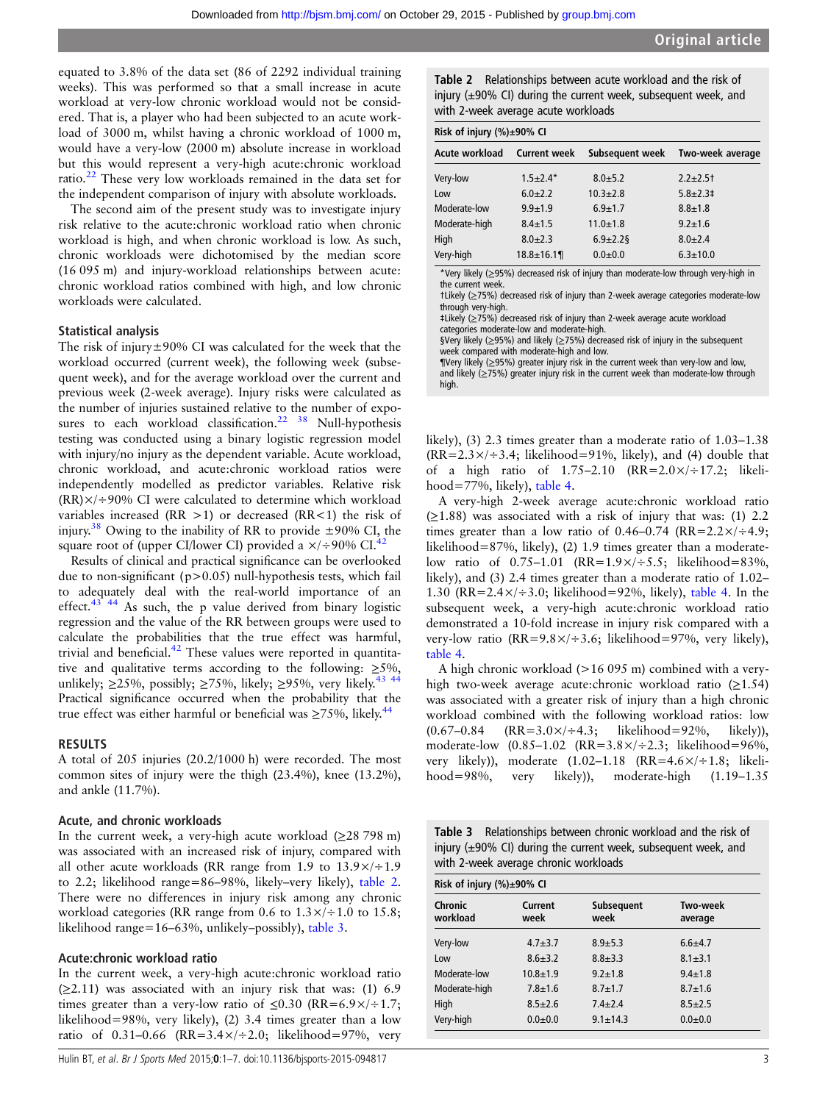equated to 3.8% of the data set (86 of 2292 individual training weeks). This was performed so that a small increase in acute workload at very-low chronic workload would not be considered. That is, a player who had been subjected to an acute workload of 3000 m, whilst having a chronic workload of 1000 m, would have a very-low (2000 m) absolute increase in workload but this would represent a very-high acute:chronic workload ratio.[22](#page-6-0) These very low workloads remained in the data set for the independent comparison of injury with absolute workloads.

The second aim of the present study was to investigate injury risk relative to the acute:chronic workload ratio when chronic workload is high, and when chronic workload is low. As such, chronic workloads were dichotomised by the median score (16 095 m) and injury-workload relationships between acute: chronic workload ratios combined with high, and low chronic workloads were calculated.

## Statistical analysis

The risk of injury $\pm$ 90% CI was calculated for the week that the workload occurred (current week), the following week (subsequent week), and for the average workload over the current and previous week (2-week average). Injury risks were calculated as the number of injuries sustained relative to the number of expo-sures to each workload classification.<sup>[22](#page-6-0)</sup>  $38$  Null-hypothesis testing was conducted using a binary logistic regression model with injury/no injury as the dependent variable. Acute workload, chronic workload, and acute:chronic workload ratios were independently modelled as predictor variables. Relative risk  $(RR) \times$ /÷90% CI were calculated to determine which workload variables increased (RR  $>1$ ) or decreased (RR  $<1$ ) the risk of injury.<sup>[38](#page-7-0)</sup> Owing to the inability of RR to provide  $\pm$ 90% CI, the square root of (upper CI/lower CI) provided a  $\times$ /÷90% CI.<sup>[42](#page-7-0)</sup>

Results of clinical and practical significance can be overlooked due to non-significant (p>0.05) null-hypothesis tests, which fail to adequately deal with the real-world importance of an effect.<sup>[43 44](#page-7-0)</sup> As such, the p value derived from binary logistic regression and the value of the RR between groups were used to calculate the probabilities that the true effect was harmful, trivial and beneficial. $42$  These values were reported in quantitative and qualitative terms according to the following:  $\geq 5\%$ , unlikely;  $\geq$ 25%, possibly;  $\geq$ 75%, likely;  $\geq$ 95%, very likely.<sup>[43 44](#page-7-0)</sup> Practical significance occurred when the probability that the true effect was either harmful or beneficial was  $\geq 75\%$ , likely.<sup>[44](#page-7-0)</sup>

## RESULTS

A total of 205 injuries (20.2/1000 h) were recorded. The most common sites of injury were the thigh (23.4%), knee (13.2%), and ankle (11.7%).

#### Acute, and chronic workloads

In the current week, a very-high acute workload  $(\geq 28798 \text{ m})$ was associated with an increased risk of injury, compared with all other acute workloads (RR range from 1.9 to  $13.9\times/ \div 1.9$ to 2.2; likelihood range=86–98%, likely–very likely), table 2. There were no differences in injury risk among any chronic workload categories (RR range from 0.6 to  $1.3 \times 1 + 1.0$  to 15.8; likelihood range=16–63%, unlikely–possibly), table 3.

## Acute:chronic workload ratio

In the current week, a very-high acute:chronic workload ratio  $(\geq 2.11)$  was associated with an injury risk that was: (1) 6.9 times greater than a very-low ratio of  $\leq 0.30$  (RR=6.9×/÷1.7; likelihood=98%, very likely), (2) 3.4 times greater than a low ratio of 0.31–0.66 (RR=3.4 $\times$ /÷2.0; likelihood=97%, very

Table 2 Relationships between acute workload and the risk of injury (±90% CI) during the current week, subsequent week, and with 2-week average acute workloads

| Risk of injury $(\%) \pm 90\%$ CI |                     |                 |                  |  |
|-----------------------------------|---------------------|-----------------|------------------|--|
| Acute workload                    | <b>Current week</b> | Subsequent week | Two-week average |  |
| Very-low                          | $1.5+2.4*$          | $8.0 + 5.2$     | $2.2 + 2.5$      |  |
| Low                               | $6.0 + 2.2$         | $10.3 + 2.8$    | $5.8 + 2.3$      |  |
| Moderate-low                      | $9.9 + 1.9$         | $6.9 + 1.7$     | $8.8 + 1.8$      |  |
| Moderate-high                     | $8.4 \pm 1.5$       | $11.0 + 1.8$    | $9.2 + 1.6$      |  |
| High                              | $8.0 + 2.3$         | $6.9 \pm 2.2$   | $8.0 + 2.4$      |  |
| Very-high                         | $18.8 \pm 16.1$     | $0.0 + 0.0$     | $6.3 \pm 10.0$   |  |

\*Very likely (≥95%) decreased risk of injury than moderate-low through very-high in the current week.

†Likely (≥75%) decreased risk of injury than 2-week average categories moderate-low through very-high.

‡Likely (≥75%) decreased risk of injury than 2-week average acute workload

categories moderate-low and moderate-high.

§Very likely (≥95%) and likely (≥75%) decreased risk of injury in the subsequent week compared with moderate-high and low.

¶Very likely (≥95%) greater injury risk in the current week than very-low and low, and likely (≥75%) greater injury risk in the current week than moderate-low through high.

likely), (3) 2.3 times greater than a moderate ratio of 1.03–1.38  $(RR=2.3\times/3.4;$  likelihood=91%, likely), and (4) double that of a high ratio of  $1.75-2.10$  (RR= $2.0 \times 17.2$ ; likelihood=77%, likely), [table 4](#page-4-0).

A very-high 2-week average acute:chronic workload ratio  $(\geq 1.88)$  was associated with a risk of injury that was: (1) 2.2 times greater than a low ratio of  $0.46-0.74$  (RR= $2.2 \times 7 + 4.9$ ; likelihood=87%, likely), (2) 1.9 times greater than a moderatelow ratio of  $0.75-1.01$  (RR= $1.9 \times / \div 5.5$ ; likelihood=83%, likely), and (3) 2.4 times greater than a moderate ratio of 1.02– 1.30 (RR= $2.4 \times / \div 3.0$ ; likelihood=92%, likely), [table 4.](#page-4-0) In the subsequent week, a very-high acute:chronic workload ratio demonstrated a 10-fold increase in injury risk compared with a very-low ratio (RR=9.8×/ $\div$ 3.6; likelihood=97%, very likely), [table 4.](#page-4-0)

A high chronic workload (>16 095 m) combined with a veryhigh two-week average acute:chronic workload ratio  $(≥1.54)$ was associated with a greater risk of injury than a high chronic workload combined with the following workload ratios: low  $(0.67-0.84 \quad (RR=3.0 \times )\div 4.3;$  likelihood=92%, likely)), moderate-low  $(0.85-1.02 \text{ (RR=3.8×/÷2.3}; \text{ likelihood=96}\%)$ , very likely)), moderate  $(1.02-1.18$   $(RR=4.6\times/+1.8;$  likelihood=98%, very likely)), moderate-high (1.19–1.35

Table 3 Relationships between chronic workload and the risk of injury  $(\pm 90\%$  CI) during the current week, subsequent week, and with 2-week average chronic workloads

| Risk of injury $(\%) \pm 90\%$ CI |                 |                           |                     |
|-----------------------------------|-----------------|---------------------------|---------------------|
| Chronic<br>workload               | Current<br>week | <b>Subsequent</b><br>week | Two-week<br>average |
| Very-low                          | $4.7 + 3.7$     | $8.9 + 5.3$               | $6.6 + 4.7$         |
| Low                               | $8.6 + 3.2$     | $8.8 + 3.3$               | $8.1 \pm 3.1$       |
| Moderate-low                      | $10.8 + 1.9$    | $9.2 + 1.8$               | $9.4 + 1.8$         |
| Moderate-high                     | $7.8 + 1.6$     | $8.7 + 1.7$               | $8.7 + 1.6$         |
| High                              | $8.5 + 2.6$     | $7.4 \pm 2.4$             | $8.5 + 2.5$         |
| Very-high                         | $0.0 + 0.0$     | $9.1 \pm 14.3$            | $0.0 + 0.0$         |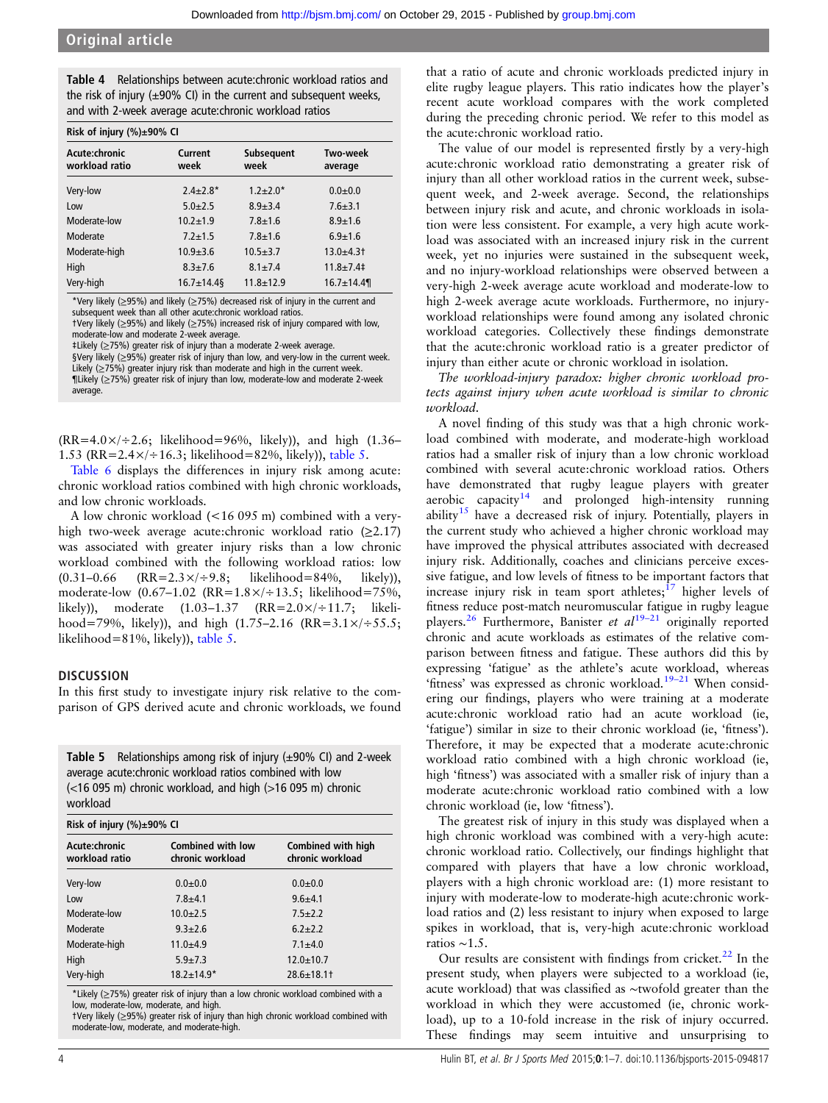<span id="page-4-0"></span>Table 4 Relationships between acute:chronic workload ratios and the risk of injury  $(\pm 90\% \text{ Cl})$  in the current and subsequent weeks, and with 2-week average acute:chronic workload ratios

| Risk of injury $(\%) \pm 90\%$ CI |                 |                           |                            |
|-----------------------------------|-----------------|---------------------------|----------------------------|
| Acute:chronic<br>workload ratio   | Current<br>week | <b>Subsequent</b><br>week | <b>Two-week</b><br>average |
| Very-low                          | $2.4 + 2.8*$    | $1.2 + 2.0*$              | $0.0 + 0.0$                |
| Low                               | $5.0 + 2.5$     | $8.9 + 3.4$               | $7.6 + 3.1$                |
| Moderate-low                      | $10.2 + 1.9$    | $7.8 + 1.6$               | $8.9 + 1.6$                |
| Moderate                          | $7.2 + 1.5$     | $7.8 + 1.6$               | $6.9 + 1.6$                |
| Moderate-high                     | $10.9 + 3.6$    | $10.5 + 3.7$              | $13.0 + 4.3$               |
| High                              | $8.3 + 7.6$     | $8.1 \pm 7.4$             | $11.8 + 7.4$               |
| Very-high                         | $16.7 \pm 14.4$ | $11.8 + 12.9$             | $16.7 \pm 14.4$            |

\*Very likely (≥95%) and likely (≥75%) decreased risk of injury in the current and subsequent week than all other acute:chronic workload ratios.

†Very likely (≥95%) and likely (≥75%) increased risk of injury compared with low, moderate-low and moderate 2-week average.

‡Likely (≥75%) greater risk of injury than a moderate 2-week average.

§Very likely (≥95%) greater risk of injury than low, and very-low in the current week. Likely  $(≥75%)$  greater injury risk than moderate and high in the current week. ¶Likely (≥75%) greater risk of injury than low, moderate-low and moderate 2-week average.

 $(RR=4.0\times/2.6;$  likelihood=96%, likely)), and high (1.36– 1.53 (RR=2.4×/÷16.3; likelihood=82%, likely)), table 5.

[Table 6](#page-5-0) displays the differences in injury risk among acute: chronic workload ratios combined with high chronic workloads, and low chronic workloads.

A low chronic workload (<16 095 m) combined with a veryhigh two-week average acute:chronic workload ratio  $(≥2.17)$ was associated with greater injury risks than a low chronic workload combined with the following workload ratios: low  $(0.31-0.66 \t (RR=2.3 \times 4.9.8; \t likelihood=84\%, \t likely)),$ moderate-low (0.67–1.02 (RR=1.8×/÷13.5; likelihood=75%, likely)), moderate (1.03–1.37 (RR=2.0×/÷11.7; likelihood=79%, likely)), and high (1.75–2.16 (RR=3.1×/÷55.5; likelihood=81%, likely)), table 5.

## **DISCUSSION**

In this first study to investigate injury risk relative to the comparison of GPS derived acute and chronic workloads, we found

| <b>Table 5</b> Relationships among risk of injury $(\pm 90\% \text{ Cl})$ and 2-week |
|--------------------------------------------------------------------------------------|
| average acute: chronic workload ratios combined with low                             |
| $\approx$ (<16 095 m) chronic workload, and high (>16 095 m) chronic<br>workload     |

| Risk of injury $(\%) \pm 90\%$ CI |                                              |                                        |
|-----------------------------------|----------------------------------------------|----------------------------------------|
| Acute:chronic<br>workload ratio   | <b>Combined with low</b><br>chronic workload | Combined with high<br>chronic workload |
| Very-low                          | $0.0 + 0.0$                                  | $0.0 + 0.0$                            |
| Low                               | $7.8 + 4.1$                                  | $9.6 + 4.1$                            |
| Moderate-low                      | $10.0 + 2.5$                                 | $7.5 + 2.2$                            |
| Moderate                          | $9.3 + 2.6$                                  | $6.2 + 2.2$                            |
| Moderate-high                     | $11.0 + 4.9$                                 | $7.1 \pm 4.0$                          |
| High                              | $5.9 + 7.3$                                  | $12.0 \pm 10.7$                        |
| Very-high                         | $18.2 \pm 14.9*$                             | $28.6 \pm 18.1$ †                      |

\*Likely (≥75%) greater risk of injury than a low chronic workload combined with a low, moderate-low, moderate, and high.

†Very likely (≥95%) greater risk of injury than high chronic workload combined with moderate-low, moderate, and moderate-high.

that a ratio of acute and chronic workloads predicted injury in elite rugby league players. This ratio indicates how the player's recent acute workload compares with the work completed during the preceding chronic period. We refer to this model as the acute:chronic workload ratio.

The value of our model is represented firstly by a very-high acute:chronic workload ratio demonstrating a greater risk of injury than all other workload ratios in the current week, subsequent week, and 2-week average. Second, the relationships between injury risk and acute, and chronic workloads in isolation were less consistent. For example, a very high acute workload was associated with an increased injury risk in the current week, yet no injuries were sustained in the subsequent week, and no injury-workload relationships were observed between a very-high 2-week average acute workload and moderate-low to high 2-week average acute workloads. Furthermore, no injuryworkload relationships were found among any isolated chronic workload categories. Collectively these findings demonstrate that the acute:chronic workload ratio is a greater predictor of injury than either acute or chronic workload in isolation.

The workload-injury paradox: higher chronic workload protects against injury when acute workload is similar to chronic workload.

A novel finding of this study was that a high chronic workload combined with moderate, and moderate-high workload ratios had a smaller risk of injury than a low chronic workload combined with several acute:chronic workload ratios. Others have demonstrated that rugby league players with greater aerobic capacity<sup>[14](#page-6-0)</sup> and prolonged high-intensity running ability<sup>[15](#page-6-0)</sup> have a decreased risk of injury. Potentially, players in the current study who achieved a higher chronic workload may have improved the physical attributes associated with decreased injury risk. Additionally, coaches and clinicians perceive excessive fatigue, and low levels of fitness to be important factors that increase injury risk in team sport athletes; $17$  higher levels of fitness reduce post-match neuromuscular fatigue in rugby league players.<sup>[26](#page-6-0)</sup> Furthermore, Banister et  $al^{19-21}$  $al^{19-21}$  $al^{19-21}$  originally reported chronic and acute workloads as estimates of the relative comparison between fitness and fatigue. These authors did this by expressing 'fatigue' as the athlete's acute workload, whereas 'fitness' was expressed as chronic workload.<sup>[19](#page-6-0)-21</sup> When considering our findings, players who were training at a moderate acute:chronic workload ratio had an acute workload (ie, 'fatigue') similar in size to their chronic workload (ie, 'fitness'). Therefore, it may be expected that a moderate acute:chronic workload ratio combined with a high chronic workload (ie, high 'fitness') was associated with a smaller risk of injury than a moderate acute:chronic workload ratio combined with a low chronic workload (ie, low 'fitness').

The greatest risk of injury in this study was displayed when a high chronic workload was combined with a very-high acute: chronic workload ratio. Collectively, our findings highlight that compared with players that have a low chronic workload, players with a high chronic workload are: (1) more resistant to injury with moderate-low to moderate-high acute:chronic workload ratios and (2) less resistant to injury when exposed to large spikes in workload, that is, very-high acute:chronic workload ratios ∼1.5.

Our results are consistent with findings from cricket.<sup>[22](#page-6-0)</sup> In the present study, when players were subjected to a workload (ie, acute workload) that was classified as ∼twofold greater than the workload in which they were accustomed (ie, chronic workload), up to a 10-fold increase in the risk of injury occurred. These findings may seem intuitive and unsurprising to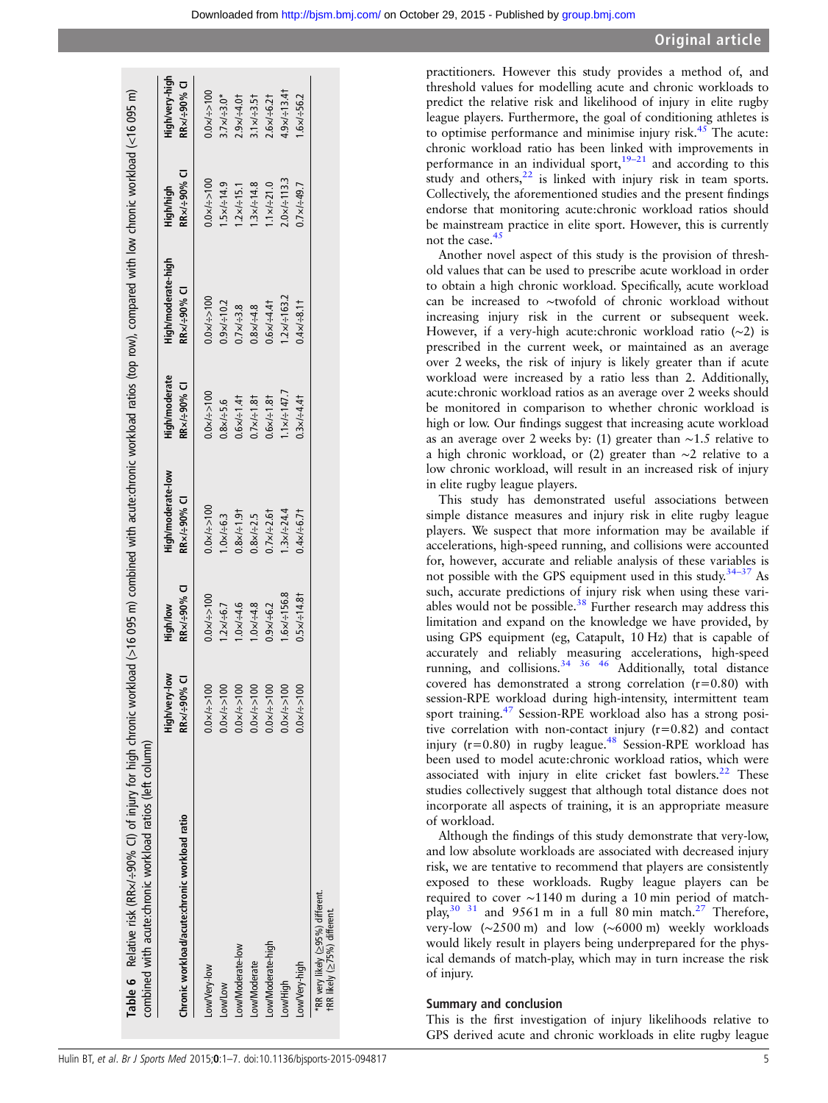<span id="page-5-0"></span>

| Table 6 Relative risk (RRx/÷90% CI) of injury for high chronic workload (>16 095 m) combined with acute:chronic workload ratios (top row), compared with low chronic workload (<16 095 m)<br>combined with acute:chronic workload ratios (left column) |                                |                         |                                  |                              |                                   |                          |                               |
|--------------------------------------------------------------------------------------------------------------------------------------------------------------------------------------------------------------------------------------------------------|--------------------------------|-------------------------|----------------------------------|------------------------------|-----------------------------------|--------------------------|-------------------------------|
| Chronic workload/acute:chronic workload ratio                                                                                                                                                                                                          | High/very-low<br>RRx/÷90% CI   | RRx/÷90% CI<br>High/low | High/moderate-low<br>RR×/÷90% CI | High/moderate<br>RRx/÷90% CI | High/moderate-high<br>RRx/÷90% CI | RRx/÷90% CI<br>High/high | High/very-high<br>RRx/÷90% CI |
| Low/Very-low                                                                                                                                                                                                                                           | $0.0 \times 1 = 100$           | $0.0 \times 1 = 100$    | $0.0 \times 1 = 100$             | $0.0 \times 1 = 100$         | $0.0 \times 1 = 100$              | $0.0 \times 100$         | $0.0 \times 1 = 100$          |
| Low/Low                                                                                                                                                                                                                                                | $0.0 \times (-1) \times 0.00$  | $1.2 \times 7 = 6.7$    | $0 \times 7 = 6.3$               | $0.8 \times 7 = 5.6$         | $0.9 \times 1 = 10.2$             | $1.5 \times 14.9$        | $3.7 \times 1 = 3.0*$         |
| Low/Moderate-low                                                                                                                                                                                                                                       | $0.0 \times 1 = 100$           | $1.0 \times 1 - 4.6$    | $0.8 \times 1 - 1.91$            | $0.6 \times 1 - 1.41$        | $0.7 \times 7 - 3.8$              | $1.2 \times 15.1$        | $2.9 \times 7 - 4.01$         |
| Low/Moderate                                                                                                                                                                                                                                           | $0.0 \times 1 = 100$           | $1.0 \times 1 - 4.8$    | $0.8 \times 7.5$                 | $0.7 \times 1.81$            | $0.8 \times 1 - 4.8$              | $3x/-14.8$               | $1 \times 7 = 3.51$           |
| Low/Moderate-high                                                                                                                                                                                                                                      | $0.0 \times 1 = 100$           | $0.9 \times 7 + 6.2$    | $0.7 \times 7 : 2.61$            | $0.6 \times 1 - 1.81$        | $0.6 \times 7 - 4.41$             | $1 \times 7 = 21.0$      | $2.6 \times 7 - 6.21$         |
| Low/High                                                                                                                                                                                                                                               | $0.0 \times 1 = 100$           | $.6 \times 1 = 156.8$   | $3x/-24.4$                       | $1 \times 1 = 147.7$         | $1.2 \times 1 = 163.2$            | $2.0 \times 1113.3$      | $1.9 \times 7 - 13.41$        |
| Low/Very-high                                                                                                                                                                                                                                          | $\infty$<br>$0.0 \times 1 = 1$ | $0.5 \times 14.81$      | $0.4x/-6.7t$                     | $0.3 \times 7 - 4.41$        | $0.4 \times 7 - 8.11$             | $0.7 \times 49.7$        | $5.95 = 7 \times 9.1$         |
| *RR very likely (≥95%) different.<br>tRR likely (≥75%) different.                                                                                                                                                                                      |                                |                         |                                  |                              |                                   |                          |                               |
|                                                                                                                                                                                                                                                        |                                |                         |                                  |                              |                                   |                          |                               |

practitioners. However this study provides a method of, and threshold values for modelling acute and chronic workloads to predict the relative risk and likelihood of injury in elite rugby league players. Furthermore, the goal of conditioning athletes is to optimise performance and minimise injury risk.<sup>[45](#page-7-0)</sup> The acute: chronic workload ratio has been linked with improvements in performance in an individual sport, $19-21$  $19-21$  and according to this study and others, $22$  is linked with injury risk in team sports. Collectively, the aforementioned studies and the present findings endorse that monitoring acute:chronic workload ratios should be mainstream practice in elite sport. However, this is currently not the case.<sup>[45](#page-7-0)</sup>

Another novel aspect of this study is the provision of threshold values that can be used to prescribe acute workload in order to obtain a high chronic workload. Specifically, acute workload can be increased to ∼twofold of chronic workload without increasing injury risk in the current or subsequent week. However, if a very-high acute:chronic workload ratio (∼2) is prescribed in the current week, or maintained as an average over 2 weeks, the risk of injury is likely greater than if acute workload were increased by a ratio less than 2. Additionally, acute:chronic workload ratios as an average over 2 weeks should be monitored in comparison to whether chronic workload is high or low. Our findings suggest that increasing acute workload as an average over 2 weeks by: (1) greater than ∼1.5 relative to a high chronic workload, or (2) greater than ∼2 relative to a low chronic workload, will result in an increased risk of injury in elite rugby league players.

This study has demonstrated useful associations between simple distance measures and injury risk in elite rugby league players. We suspect that more information may be available if accelerations, high-speed running, and collisions were accounted for, however, accurate and reliable analysis of these variables is not possible with the GPS equipment used in this study.34–[37](#page-7-0) As such, accurate predictions of injury risk when using these vari-ables would not be possible.<sup>[38](#page-7-0)</sup> Further research may address this limitation and expand on the knowledge we have provided, by using GPS equipment (eg, Catapult, 10 Hz) that is capable of accurately and reliably measuring accelerations, high-speed running, and collisions.<sup>[34 36 46](#page-7-0)</sup> Additionally, total distance covered has demonstrated a strong correlation  $(r=0.80)$  with session-RPE workload during high-intensity, intermittent team sport training.[47](#page-7-0) Session-RPE workload also has a strong positive correlation with non-contact injury (r=0.82) and contact injury ( $r=0.80$ ) in rugby league.<sup>[48](#page-7-0)</sup> Session-RPE workload has been used to model acute:chronic workload ratios, which were associated with injury in elite cricket fast bowlers. $22$  These studies collectively suggest that although total distance does not incorporate all aspects of training, it is an appropriate measure of workload.

Although the findings of this study demonstrate that very-low, and low absolute workloads are associated with decreased injury risk, we are tentative to recommend that players are consistently exposed to these workloads. Rugby league players can be required to cover ∼1140 m during a 10 min period of matchplay,  $30^{31}$  and 9561 m in a full 80 min match.<sup>27</sup> Therefore, very-low (∼2500 m) and low (∼6000 m) weekly workloads would likely result in players being underprepared for the physical demands of match-play, which may in turn increase the risk of injury.

## Summary and conclusion

This is the first investigation of injury likelihoods relative to GPS derived acute and chronic workloads in elite rugby league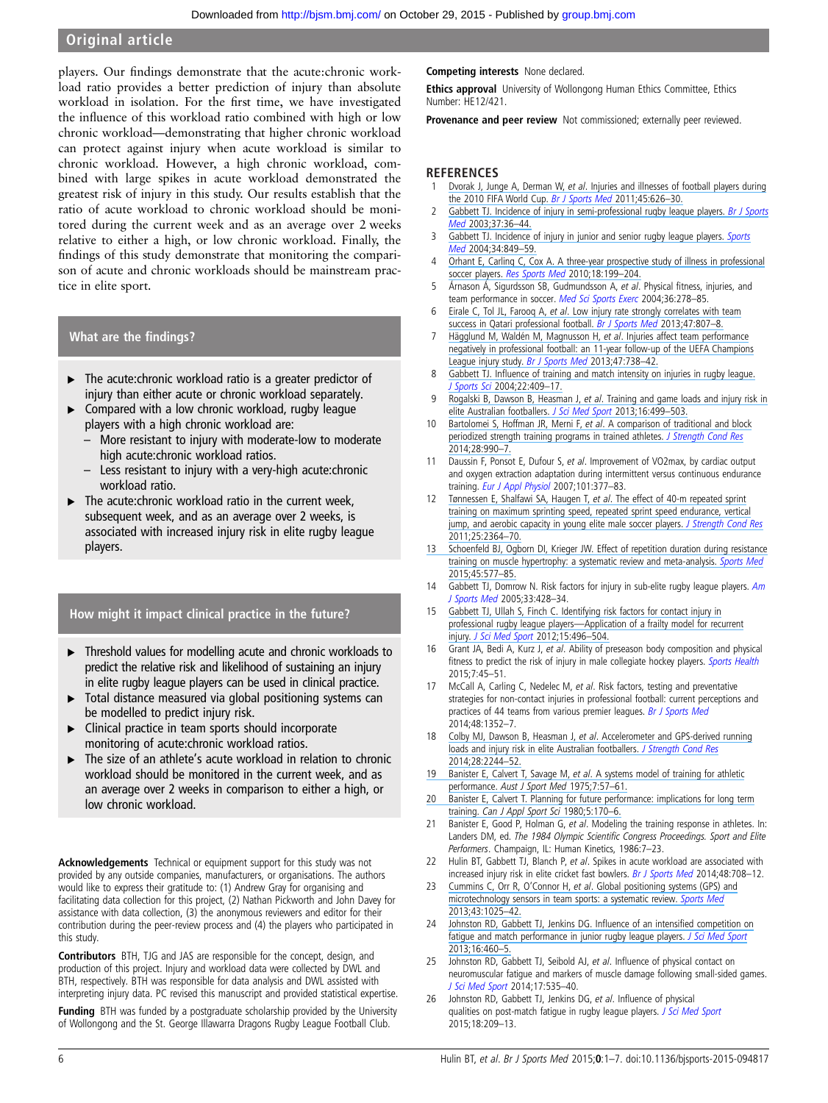## <span id="page-6-0"></span>Original article

players. Our findings demonstrate that the acute:chronic workload ratio provides a better prediction of injury than absolute workload in isolation. For the first time, we have investigated the influence of this workload ratio combined with high or low chronic workload—demonstrating that higher chronic workload can protect against injury when acute workload is similar to chronic workload. However, a high chronic workload, combined with large spikes in acute workload demonstrated the greatest risk of injury in this study. Our results establish that the ratio of acute workload to chronic workload should be monitored during the current week and as an average over 2 weeks relative to either a high, or low chronic workload. Finally, the findings of this study demonstrate that monitoring the comparison of acute and chronic workloads should be mainstream practice in elite sport.

## What are the findings?

- ▸ The acute:chronic workload ratio is a greater predictor of injury than either acute or chronic workload separately.
- Compared with a low chronic workload, rugby league players with a high chronic workload are:
	- More resistant to injury with moderate-low to moderate high acute:chronic workload ratios.
	- Less resistant to injury with a very-high acute: chronic workload ratio.
- $\blacktriangleright$  The acute: chronic workload ratio in the current week, subsequent week, and as an average over 2 weeks, is associated with increased injury risk in elite rugby league players.

## How might it impact clinical practice in the future?

- ▸ Threshold values for modelling acute and chronic workloads to predict the relative risk and likelihood of sustaining an injury in elite rugby league players can be used in clinical practice.
- Total distance measured via global positioning systems can be modelled to predict injury risk.
- Clinical practice in team sports should incorporate monitoring of acute:chronic workload ratios.
- The size of an athlete's acute workload in relation to chronic workload should be monitored in the current week, and as an average over 2 weeks in comparison to either a high, or low chronic workload.

Acknowledgements Technical or equipment support for this study was not provided by any outside companies, manufacturers, or organisations. The authors would like to express their gratitude to: (1) Andrew Gray for organising and facilitating data collection for this project, (2) Nathan Pickworth and John Davey for assistance with data collection, (3) the anonymous reviewers and editor for their contribution during the peer-review process and (4) the players who participated in this study.

Contributors BTH, TJG and JAS are responsible for the concept, design, and production of this project. Injury and workload data were collected by DWL and BTH, respectively. BTH was responsible for data analysis and DWL assisted with interpreting injury data. PC revised this manuscript and provided statistical expertise.

Funding BTH was funded by a postgraduate scholarship provided by the University of Wollongong and the St. George Illawarra Dragons Rugby League Football Club.

Competing interests None declared.

**Ethics approval** University of Wollongong Human Ethics Committee, Ethics Number: HE12/421.

Provenance and peer review Not commissioned; externally peer reviewed.

## **REFERENCES**

- Dvorak J, Junge A, Derman W, et al[. Injuries and illnesses of football players during](https://www.researchgate.net/publication/49776884_Injuries_and_illnesses_of_football_players_during_the_2010_FIFA_World_Cup?el=1_x_8&enrichId=rgreq-1588c96f0787f5e42f3cf61e0b1527c7-XXX&enrichSource=Y292ZXJQYWdlOzI4MzMxNzgyNztBUzoyOTEyNzYxNTE5MDIyMDhAMTQ0NjQ1NzA1NDM4OA==) [the 2010 FIFA World Cup.](https://www.researchgate.net/publication/49776884_Injuries_and_illnesses_of_football_players_during_the_2010_FIFA_World_Cup?el=1_x_8&enrichId=rgreq-1588c96f0787f5e42f3cf61e0b1527c7-XXX&enrichSource=Y292ZXJQYWdlOzI4MzMxNzgyNztBUzoyOTEyNzYxNTE5MDIyMDhAMTQ0NjQ1NzA1NDM4OA==) [Br J Sports Med](http://dx.doi.org/10.1136/bjsm.2010.079905) 2011;45:626-30.
- Gabbett TJ. Incidence of injury in semi-professional rugby league players. [Br J Sports](http://dx.doi.org/10.1136/bjsm.37.1.36) [Med](http://dx.doi.org/10.1136/bjsm.37.1.36) [2003;37:36](https://www.researchgate.net/publication/10933110_Incidence_of_injury_in_semi-professional_rugby_league_players?el=1_x_8&enrichId=rgreq-1588c96f0787f5e42f3cf61e0b1527c7-XXX&enrichSource=Y292ZXJQYWdlOzI4MzMxNzgyNztBUzoyOTEyNzYxNTE5MDIyMDhAMTQ0NjQ1NzA1NDM4OA==)–44.
- 3 [Gabbett TJ. Incidence of injury in junior and senior rugby league players.](https://www.researchgate.net/publication/8252193_Incidence_of_Injury_in_Junior_and_Senior_Rugby_League_Players?el=1_x_8&enrichId=rgreq-1588c96f0787f5e42f3cf61e0b1527c7-XXX&enrichSource=Y292ZXJQYWdlOzI4MzMxNzgyNztBUzoyOTEyNzYxNTE5MDIyMDhAMTQ0NjQ1NzA1NDM4OA==) [Sports](http://dx.doi.org/10.2165/00007256-200434120-00004) [Med](http://dx.doi.org/10.2165/00007256-200434120-00004) [2004;34:849](https://www.researchgate.net/publication/8252193_Incidence_of_Injury_in_Junior_and_Senior_Rugby_League_Players?el=1_x_8&enrichId=rgreq-1588c96f0787f5e42f3cf61e0b1527c7-XXX&enrichSource=Y292ZXJQYWdlOzI4MzMxNzgyNztBUzoyOTEyNzYxNTE5MDIyMDhAMTQ0NjQ1NzA1NDM4OA==)–59.
- 4 [Orhant E, Carling C, Cox A. A three-year prospective study of illness in professional](https://www.researchgate.net/publication/45152396_A_Three-Year_Prospective_Study_of_Illness_in_Professional_Soccer_Players?el=1_x_8&enrichId=rgreq-1588c96f0787f5e42f3cf61e0b1527c7-XXX&enrichSource=Y292ZXJQYWdlOzI4MzMxNzgyNztBUzoyOTEyNzYxNTE5MDIyMDhAMTQ0NjQ1NzA1NDM4OA==) soccer players. [Res Sports Med](http://dx.doi.org/10.1080/15438627.2010.490462) 2010;18:199-204.
- 5 Árnason Á, Sigurdsson SB, Gudmundsson A, et al. Physical fitness, injuries, and team performance in soccer. [Med Sci Sports Exerc](http://dx.doi.org/10.1249/01.MSS.0000113478.92945.CA) 2004;36:278-85.
- 6 Eirale C, Tol JL, Farooq A, et al[. Low injury rate strongly correlates with team](https://www.researchgate.net/publication/230699150_Low_injury_rate_strongly_correlates_with_team_success_in_Qatari_professional_football?el=1_x_8&enrichId=rgreq-1588c96f0787f5e42f3cf61e0b1527c7-XXX&enrichSource=Y292ZXJQYWdlOzI4MzMxNzgyNztBUzoyOTEyNzYxNTE5MDIyMDhAMTQ0NjQ1NzA1NDM4OA==) [success in Qatari professional football.](https://www.researchgate.net/publication/230699150_Low_injury_rate_strongly_correlates_with_team_success_in_Qatari_professional_football?el=1_x_8&enrichId=rgreq-1588c96f0787f5e42f3cf61e0b1527c7-XXX&enrichSource=Y292ZXJQYWdlOzI4MzMxNzgyNztBUzoyOTEyNzYxNTE5MDIyMDhAMTQ0NjQ1NzA1NDM4OA==) [Br J Sports Med](http://dx.doi.org/10.1136/bjsports-2012-091040) 2013;47:807-8.
- 7 [Hägglund M, Waldén M, Magnusson H,](https://www.researchgate.net/publication/236639717_Injuries_affect_team_performance_negatively_in_professional_football_An_11-year_follow-up_of_the_UEFA_Champions_League_injury_study?el=1_x_8&enrichId=rgreq-1588c96f0787f5e42f3cf61e0b1527c7-XXX&enrichSource=Y292ZXJQYWdlOzI4MzMxNzgyNztBUzoyOTEyNzYxNTE5MDIyMDhAMTQ0NjQ1NzA1NDM4OA==) et al. Injuries affect team performance [negatively in professional football: an 11-year follow-up of the UEFA Champions](https://www.researchgate.net/publication/236639717_Injuries_affect_team_performance_negatively_in_professional_football_An_11-year_follow-up_of_the_UEFA_Champions_League_injury_study?el=1_x_8&enrichId=rgreq-1588c96f0787f5e42f3cf61e0b1527c7-XXX&enrichSource=Y292ZXJQYWdlOzI4MzMxNzgyNztBUzoyOTEyNzYxNTE5MDIyMDhAMTQ0NjQ1NzA1NDM4OA==) [League injury study.](https://www.researchgate.net/publication/236639717_Injuries_affect_team_performance_negatively_in_professional_football_An_11-year_follow-up_of_the_UEFA_Champions_League_injury_study?el=1_x_8&enrichId=rgreq-1588c96f0787f5e42f3cf61e0b1527c7-XXX&enrichSource=Y292ZXJQYWdlOzI4MzMxNzgyNztBUzoyOTEyNzYxNTE5MDIyMDhAMTQ0NjQ1NzA1NDM4OA==) [Br J Sports Med](http://dx.doi.org/10.1136/bjsports-2013-092215) 2013;47:738-42.
- 8 Gabbett TJ. Infl[uence of training and match intensity on injuries in rugby league.](https://www.researchgate.net/publication/8545020_Influence_of_training_and_match_intensity_on_injuries_in_rugby_league?el=1_x_8&enrichId=rgreq-1588c96f0787f5e42f3cf61e0b1527c7-XXX&enrichSource=Y292ZXJQYWdlOzI4MzMxNzgyNztBUzoyOTEyNzYxNTE5MDIyMDhAMTQ0NjQ1NzA1NDM4OA==) [J Sports Sci](http://dx.doi.org/10.1080/02640410310001641638) [2004;22:409](https://www.researchgate.net/publication/8545020_Influence_of_training_and_match_intensity_on_injuries_in_rugby_league?el=1_x_8&enrichId=rgreq-1588c96f0787f5e42f3cf61e0b1527c7-XXX&enrichSource=Y292ZXJQYWdlOzI4MzMxNzgyNztBUzoyOTEyNzYxNTE5MDIyMDhAMTQ0NjQ1NzA1NDM4OA==)–17.
- 9 Rogalski B, Dawson B, Heasman J, et al[. Training and game loads and injury risk in](https://www.researchgate.net/publication/234699103_Training_and_game_loads_and_injury_risk_in_elite_Australian_footballers?el=1_x_8&enrichId=rgreq-1588c96f0787f5e42f3cf61e0b1527c7-XXX&enrichSource=Y292ZXJQYWdlOzI4MzMxNzgyNztBUzoyOTEyNzYxNTE5MDIyMDhAMTQ0NjQ1NzA1NDM4OA==) [elite Australian footballers.](https://www.researchgate.net/publication/234699103_Training_and_game_loads_and_injury_risk_in_elite_Australian_footballers?el=1_x_8&enrichId=rgreq-1588c96f0787f5e42f3cf61e0b1527c7-XXX&enrichSource=Y292ZXJQYWdlOzI4MzMxNzgyNztBUzoyOTEyNzYxNTE5MDIyMDhAMTQ0NjQ1NzA1NDM4OA==) [J Sci Med Sport](http://dx.doi.org/10.1016/j.jsams.2012.12.004) 2013;16:499-503.
- 10 Bartolomei S, Hoffman JR, Merni F, et al[. A comparison of traditional and block](https://www.researchgate.net/publication/259984480_A_Comparison_of_Traditional_and_Block_Periodized_Strength_Training_Programs_in_Trained_Athletes?el=1_x_8&enrichId=rgreq-1588c96f0787f5e42f3cf61e0b1527c7-XXX&enrichSource=Y292ZXJQYWdlOzI4MzMxNzgyNztBUzoyOTEyNzYxNTE5MDIyMDhAMTQ0NjQ1NzA1NDM4OA==) [periodized strength training programs in trained athletes.](https://www.researchgate.net/publication/259984480_A_Comparison_of_Traditional_and_Block_Periodized_Strength_Training_Programs_in_Trained_Athletes?el=1_x_8&enrichId=rgreq-1588c96f0787f5e42f3cf61e0b1527c7-XXX&enrichSource=Y292ZXJQYWdlOzI4MzMxNzgyNztBUzoyOTEyNzYxNTE5MDIyMDhAMTQ0NjQ1NzA1NDM4OA==) [J Strength Cond Res](http://dx.doi.org/10.1519/JSC.0000000000000366) [2014;28:990](https://www.researchgate.net/publication/259984480_A_Comparison_of_Traditional_and_Block_Periodized_Strength_Training_Programs_in_Trained_Athletes?el=1_x_8&enrichId=rgreq-1588c96f0787f5e42f3cf61e0b1527c7-XXX&enrichSource=Y292ZXJQYWdlOzI4MzMxNzgyNztBUzoyOTEyNzYxNTE5MDIyMDhAMTQ0NjQ1NzA1NDM4OA==)–7.
- 11 Daussin F, Ponsot E, Dufour S, et al. Improvement of VO2max, by cardiac output and oxygen extraction adaptation during intermittent versus continuous endurance training. [Eur J Appl Physiol](http://dx.doi.org/10.1007/s00421-007-0499-3) 2007;101:377–83.
- 12 [Tønnessen E, Shalfawi SA, Haugen T,](https://www.researchgate.net/publication/51597822_The_Effect_of_40-m_Repeated_Sprint_Training_on_Maximum_Sprinting_Speed_Repeated_Sprint_Speed_Endurance_Vertical_Jump_and_Aerobic_Capacity_in_Young_Elite_Male_Soccer_Players?el=1_x_8&enrichId=rgreq-1588c96f0787f5e42f3cf61e0b1527c7-XXX&enrichSource=Y292ZXJQYWdlOzI4MzMxNzgyNztBUzoyOTEyNzYxNTE5MDIyMDhAMTQ0NjQ1NzA1NDM4OA==) et al. The effect of 40-m repeated sprint [training on maximum sprinting speed, repeated sprint speed endurance, vertical](https://www.researchgate.net/publication/51597822_The_Effect_of_40-m_Repeated_Sprint_Training_on_Maximum_Sprinting_Speed_Repeated_Sprint_Speed_Endurance_Vertical_Jump_and_Aerobic_Capacity_in_Young_Elite_Male_Soccer_Players?el=1_x_8&enrichId=rgreq-1588c96f0787f5e42f3cf61e0b1527c7-XXX&enrichSource=Y292ZXJQYWdlOzI4MzMxNzgyNztBUzoyOTEyNzYxNTE5MDIyMDhAMTQ0NjQ1NzA1NDM4OA==) [jump, and aerobic capacity in young elite male soccer players.](https://www.researchgate.net/publication/51597822_The_Effect_of_40-m_Repeated_Sprint_Training_on_Maximum_Sprinting_Speed_Repeated_Sprint_Speed_Endurance_Vertical_Jump_and_Aerobic_Capacity_in_Young_Elite_Male_Soccer_Players?el=1_x_8&enrichId=rgreq-1588c96f0787f5e42f3cf61e0b1527c7-XXX&enrichSource=Y292ZXJQYWdlOzI4MzMxNzgyNztBUzoyOTEyNzYxNTE5MDIyMDhAMTQ0NjQ1NzA1NDM4OA==) [J Strength Cond Res](http://dx.doi.org/10.1519/JSC.0b013e3182023a65) [2011;25:2364](https://www.researchgate.net/publication/51597822_The_Effect_of_40-m_Repeated_Sprint_Training_on_Maximum_Sprinting_Speed_Repeated_Sprint_Speed_Endurance_Vertical_Jump_and_Aerobic_Capacity_in_Young_Elite_Male_Soccer_Players?el=1_x_8&enrichId=rgreq-1588c96f0787f5e42f3cf61e0b1527c7-XXX&enrichSource=Y292ZXJQYWdlOzI4MzMxNzgyNztBUzoyOTEyNzYxNTE5MDIyMDhAMTQ0NjQ1NzA1NDM4OA==)–70.
- [13 Schoenfeld BJ, Ogborn DI, Krieger JW. Effect of repetition duration during resistance](https://www.researchgate.net/publication/271533635_Effect_of_Repetition_Duration_During_Resistance_Training_on_Muscle_Hypertrophy_A_Systematic_Review_and_Meta-Analysis?el=1_x_8&enrichId=rgreq-1588c96f0787f5e42f3cf61e0b1527c7-XXX&enrichSource=Y292ZXJQYWdlOzI4MzMxNzgyNztBUzoyOTEyNzYxNTE5MDIyMDhAMTQ0NjQ1NzA1NDM4OA==) [training on muscle hypertrophy: a systematic review and meta-analysis.](https://www.researchgate.net/publication/271533635_Effect_of_Repetition_Duration_During_Resistance_Training_on_Muscle_Hypertrophy_A_Systematic_Review_and_Meta-Analysis?el=1_x_8&enrichId=rgreq-1588c96f0787f5e42f3cf61e0b1527c7-XXX&enrichSource=Y292ZXJQYWdlOzI4MzMxNzgyNztBUzoyOTEyNzYxNTE5MDIyMDhAMTQ0NjQ1NzA1NDM4OA==) [Sports Med](http://dx.doi.org/10.1007/s40279-015-0304-0) [2015;45:577](https://www.researchgate.net/publication/271533635_Effect_of_Repetition_Duration_During_Resistance_Training_on_Muscle_Hypertrophy_A_Systematic_Review_and_Meta-Analysis?el=1_x_8&enrichId=rgreq-1588c96f0787f5e42f3cf61e0b1527c7-XXX&enrichSource=Y292ZXJQYWdlOzI4MzMxNzgyNztBUzoyOTEyNzYxNTE5MDIyMDhAMTQ0NjQ1NzA1NDM4OA==)–85.
- 14 Gabbett TJ, Domrow N. Risk factors for injury in sub-elite rugby league players.  $Am$ [J Sports Med](http://dx.doi.org/10.1177/0363546504268407) 2005;33:428–34.
- 15 Gabbett [TJ, Ullah S, Finch C. Identifying risk factors for contact injury in](https://www.researchgate.net/publication/228100455_Identifying_risk_factors_for_contact_injury_in_professional_rugby_league_players_-_Application_of_a_frailty_model_for_recurrent_injury?el=1_x_8&enrichId=rgreq-1588c96f0787f5e42f3cf61e0b1527c7-XXX&enrichSource=Y292ZXJQYWdlOzI4MzMxNzgyNztBUzoyOTEyNzYxNTE5MDIyMDhAMTQ0NjQ1NzA1NDM4OA==) professional rugby league players—[Application of a frailty model for recurrent](https://www.researchgate.net/publication/228100455_Identifying_risk_factors_for_contact_injury_in_professional_rugby_league_players_-_Application_of_a_frailty_model_for_recurrent_injury?el=1_x_8&enrichId=rgreq-1588c96f0787f5e42f3cf61e0b1527c7-XXX&enrichSource=Y292ZXJQYWdlOzI4MzMxNzgyNztBUzoyOTEyNzYxNTE5MDIyMDhAMTQ0NjQ1NzA1NDM4OA==) injury. [J Sci Med Sport](http://dx.doi.org/10.1016/j.jsams.2012.03.017) 2012;15:496–504.
- 16 Grant JA, Bedi A, Kurz J, et al. Ability of preseason body composition and physical fitness to predict the risk of injury in male collegiate hockey players. [Sports Health](http://dx.doi.org/10.1177/1941738114540445) 2015;7:45–51.
- 17 McCall A, Carling C, Nedelec M, et al. Risk factors, testing and preventative strategies for non-contact injuries in professional football: current perceptions and practices of 44 teams from various premier leagues. [Br J Sports Med](http://dx.doi.org/10.1136/bjsports-2014-093439) 2014;48:1352–7.
- 18 Colby MJ, Dawson B, Heasman J, et al[. Accelerometer and GPS-derived running](https://www.researchgate.net/publication/264203247_Accelerometer_and_GPS-Derived_Running_Loads_and_Injury_Risk_in_Elite_Australian_Footballers?el=1_x_8&enrichId=rgreq-1588c96f0787f5e42f3cf61e0b1527c7-XXX&enrichSource=Y292ZXJQYWdlOzI4MzMxNzgyNztBUzoyOTEyNzYxNTE5MDIyMDhAMTQ0NjQ1NzA1NDM4OA==) [loads and injury risk in elite Australian footballers.](https://www.researchgate.net/publication/264203247_Accelerometer_and_GPS-Derived_Running_Loads_and_Injury_Risk_in_Elite_Australian_Footballers?el=1_x_8&enrichId=rgreq-1588c96f0787f5e42f3cf61e0b1527c7-XXX&enrichSource=Y292ZXJQYWdlOzI4MzMxNzgyNztBUzoyOTEyNzYxNTE5MDIyMDhAMTQ0NjQ1NzA1NDM4OA==) [J Strength Cond Res](http://dx.doi.org/10.1519/JSC.0000000000000362) [2014;28:2244](https://www.researchgate.net/publication/264203247_Accelerometer_and_GPS-Derived_Running_Loads_and_Injury_Risk_in_Elite_Australian_Footballers?el=1_x_8&enrichId=rgreq-1588c96f0787f5e42f3cf61e0b1527c7-XXX&enrichSource=Y292ZXJQYWdlOzI4MzMxNzgyNztBUzoyOTEyNzYxNTE5MDIyMDhAMTQ0NjQ1NzA1NDM4OA==)–52.
- Banister E, Calvert T, Savage M, et al[. A systems model of training for athletic](https://www.researchgate.net/publication/281506189_A_systems_model_of_training_for_athletic_performance?el=1_x_8&enrichId=rgreq-1588c96f0787f5e42f3cf61e0b1527c7-XXX&enrichSource=Y292ZXJQYWdlOzI4MzMxNzgyNztBUzoyOTEyNzYxNTE5MDIyMDhAMTQ0NjQ1NzA1NDM4OA==) performance. [Aust J Sport Med](https://www.researchgate.net/publication/281506189_A_systems_model_of_training_for_athletic_performance?el=1_x_8&enrichId=rgreq-1588c96f0787f5e42f3cf61e0b1527c7-XXX&enrichSource=Y292ZXJQYWdlOzI4MzMxNzgyNztBUzoyOTEyNzYxNTE5MDIyMDhAMTQ0NjQ1NzA1NDM4OA==) 1975;7:57–61.
- [20 Banister E, Calvert T. Planning for future performance: implications for long term](https://www.researchgate.net/publication/16419633_Planning_for_future_performance_Implications_for_long_term_training?el=1_x_8&enrichId=rgreq-1588c96f0787f5e42f3cf61e0b1527c7-XXX&enrichSource=Y292ZXJQYWdlOzI4MzMxNzgyNztBUzoyOTEyNzYxNTE5MDIyMDhAMTQ0NjQ1NzA1NDM4OA==) training. [Can J Appl Sport Sci](https://www.researchgate.net/publication/16419633_Planning_for_future_performance_Implications_for_long_term_training?el=1_x_8&enrichId=rgreq-1588c96f0787f5e42f3cf61e0b1527c7-XXX&enrichSource=Y292ZXJQYWdlOzI4MzMxNzgyNztBUzoyOTEyNzYxNTE5MDIyMDhAMTQ0NjQ1NzA1NDM4OA==) 1980;5:170-6.
- 21 Banister E, Good P, Holman G, et al. Modeling the training response in athletes. In: Landers DM, ed. The 1984 Olympic Scientific Congress Proceedings. Sport and Elite Performers. Champaign, IL: Human Kinetics, 1986:7–23.
- 22 Hulin BT, Gabbett TJ, Blanch P, et al. Spikes in acute workload are associated with increased injury risk in elite cricket fast bowlers. [Br J Sports Med](http://dx.doi.org/10.1136/bjsports-2013-092524) 2014;48:708-12.
- 23 Cummins C, Orr R, O'Connor H, et al[. Global positioning systems \(GPS\) and](https://www.researchgate.net/publication/243969087_Global_Positioning_Systems_GPS_and_Microtechnology_Sensors_in_Team_Sports_A_Systematic_Review?el=1_x_8&enrichId=rgreq-1588c96f0787f5e42f3cf61e0b1527c7-XXX&enrichSource=Y292ZXJQYWdlOzI4MzMxNzgyNztBUzoyOTEyNzYxNTE5MDIyMDhAMTQ0NjQ1NzA1NDM4OA==) [microtechnology sensors in team sports: a systematic review.](https://www.researchgate.net/publication/243969087_Global_Positioning_Systems_GPS_and_Microtechnology_Sensors_in_Team_Sports_A_Systematic_Review?el=1_x_8&enrichId=rgreq-1588c96f0787f5e42f3cf61e0b1527c7-XXX&enrichSource=Y292ZXJQYWdlOzI4MzMxNzgyNztBUzoyOTEyNzYxNTE5MDIyMDhAMTQ0NjQ1NzA1NDM4OA==) [Sports Med](http://dx.doi.org/10.1007/s40279-013-0069-2) [2013;43:1025](https://www.researchgate.net/publication/243969087_Global_Positioning_Systems_GPS_and_Microtechnology_Sensors_in_Team_Sports_A_Systematic_Review?el=1_x_8&enrichId=rgreq-1588c96f0787f5e42f3cf61e0b1527c7-XXX&enrichSource=Y292ZXJQYWdlOzI4MzMxNzgyNztBUzoyOTEyNzYxNTE5MDIyMDhAMTQ0NjQ1NzA1NDM4OA==)–42.
- 24 [Johnston RD, Gabbett TJ, Jenkins DG. In](https://www.researchgate.net/publication/233939637_Influence_of_an_intensified_competition_on_fatigue_and_match_performance_in_junior_rugby_league_players?el=1_x_8&enrichId=rgreq-1588c96f0787f5e42f3cf61e0b1527c7-XXX&enrichSource=Y292ZXJQYWdlOzI4MzMxNzgyNztBUzoyOTEyNzYxNTE5MDIyMDhAMTQ0NjQ1NzA1NDM4OA==)fluence of an intensified competition on [fatigue and match performance in junior rugby league players.](https://www.researchgate.net/publication/233939637_Influence_of_an_intensified_competition_on_fatigue_and_match_performance_in_junior_rugby_league_players?el=1_x_8&enrichId=rgreq-1588c96f0787f5e42f3cf61e0b1527c7-XXX&enrichSource=Y292ZXJQYWdlOzI4MzMxNzgyNztBUzoyOTEyNzYxNTE5MDIyMDhAMTQ0NjQ1NzA1NDM4OA==) [J Sci Med Sport](http://dx.doi.org/10.1016/j.jsams.2012.10.009) [2013;16:460](https://www.researchgate.net/publication/233939637_Influence_of_an_intensified_competition_on_fatigue_and_match_performance_in_junior_rugby_league_players?el=1_x_8&enrichId=rgreq-1588c96f0787f5e42f3cf61e0b1527c7-XXX&enrichSource=Y292ZXJQYWdlOzI4MzMxNzgyNztBUzoyOTEyNzYxNTE5MDIyMDhAMTQ0NjQ1NzA1NDM4OA==)–5.
- 25 Johnston RD, Gabbett TJ, Seibold AJ, et al. Influence of physical contact on neuromuscular fatigue and markers of muscle damage following small-sided games. [J Sci Med Sport](http://dx.doi.org/10.1016/j.jsams.2013.07.018) 2014;17:535–40.
- 26 Johnston RD, Gabbett TJ, Jenkins DG, et al. Influence of physical qualities on post-match fatigue in rugby league players. [J Sci Med Sport](http://dx.doi.org/10.1016/j.jsams.2014.01.009) 2015;18:209–13.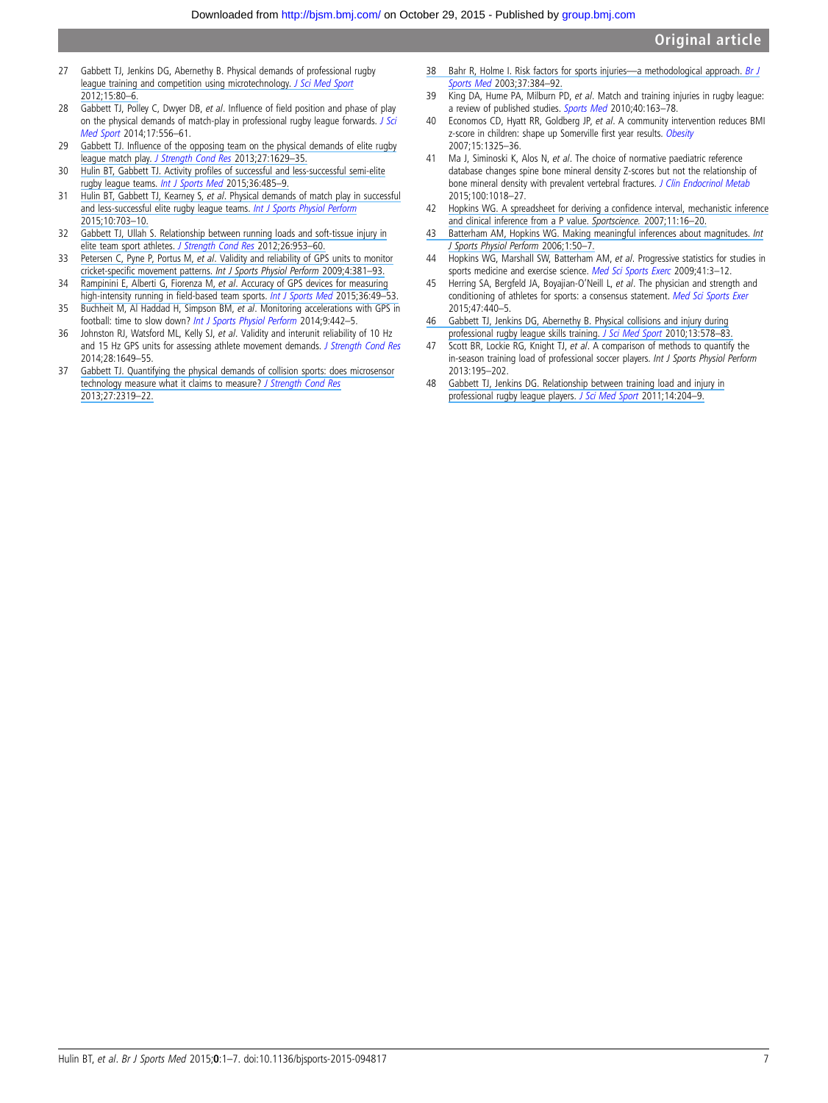- <span id="page-7-0"></span>27 Gabbett TJ, Jenkins DG, Abernethy B. Physical demands of professional rugby [league training and competition using microtechnology.](https://www.researchgate.net/publication/51551456_Physical_demands_of_professional_rugby_league_training_and_competition_using_microtechnology?el=1_x_8&enrichId=rgreq-1588c96f0787f5e42f3cf61e0b1527c7-XXX&enrichSource=Y292ZXJQYWdlOzI4MzMxNzgyNztBUzoyOTEyNzYxNTE5MDIyMDhAMTQ0NjQ1NzA1NDM4OA==) [J Sci Med Sport](http://dx.doi.org/10.1016/j.jsams.2011.07.004) [2012;15:80](https://www.researchgate.net/publication/51551456_Physical_demands_of_professional_rugby_league_training_and_competition_using_microtechnology?el=1_x_8&enrichId=rgreq-1588c96f0787f5e42f3cf61e0b1527c7-XXX&enrichSource=Y292ZXJQYWdlOzI4MzMxNzgyNztBUzoyOTEyNzYxNTE5MDIyMDhAMTQ0NjQ1NzA1NDM4OA==)–6.
- 28 Gabbett TJ, Polley C, Dwyer DB, et al. Influence of field position and phase of play on the physical demands of match-play in professional rugby league forwards. [J Sci](http://dx.doi.org/10.1016/j.jsams.2013.08.002) [Med Sport](http://dx.doi.org/10.1016/j.jsams.2013.08.002) 2014;17:556–61.
- 29 Gabbett TJ. Infl[uence of the opposing team on the physical demands of elite rugby](https://www.researchgate.net/publication/232087143_Influence_of_the_Opposing_Team_on_the_Physical_Demands_of_Elite_Rugby_League_Match_Play?el=1_x_8&enrichId=rgreq-1588c96f0787f5e42f3cf61e0b1527c7-XXX&enrichSource=Y292ZXJQYWdlOzI4MzMxNzgyNztBUzoyOTEyNzYxNTE5MDIyMDhAMTQ0NjQ1NzA1NDM4OA==) league match play. [J](https://www.researchgate.net/publication/232087143_Influence_of_the_Opposing_Team_on_the_Physical_Demands_of_Elite_Rugby_League_Match_Play?el=1_x_8&enrichId=rgreq-1588c96f0787f5e42f3cf61e0b1527c7-XXX&enrichSource=Y292ZXJQYWdlOzI4MzMxNzgyNztBUzoyOTEyNzYxNTE5MDIyMDhAMTQ0NjQ1NzA1NDM4OA==) [Strength Cond Res](http://dx.doi.org/10.1519/JSC.0b013e318274f30e) 2013;27:1629–35.
- 30 Hulin BT, Gabbett TJ. Activity profi[les of successful and less-successful semi-elite](https://www.researchgate.net/publication/273152929_Activity_Profiles_of_Successful_and_Less-successful_Semi-elite_Rugby_League_Teams?el=1_x_8&enrichId=rgreq-1588c96f0787f5e42f3cf61e0b1527c7-XXX&enrichSource=Y292ZXJQYWdlOzI4MzMxNzgyNztBUzoyOTEyNzYxNTE5MDIyMDhAMTQ0NjQ1NzA1NDM4OA==) [rugby league teams.](https://www.researchgate.net/publication/273152929_Activity_Profiles_of_Successful_and_Less-successful_Semi-elite_Rugby_League_Teams?el=1_x_8&enrichId=rgreq-1588c96f0787f5e42f3cf61e0b1527c7-XXX&enrichSource=Y292ZXJQYWdlOzI4MzMxNzgyNztBUzoyOTEyNzYxNTE5MDIyMDhAMTQ0NjQ1NzA1NDM4OA==) [Int J Sports Med](http://dx.doi.org/10.1055/s-0034-1398532) 2015;36:485-9.
- 31 Hulin BT, Gabbett TJ, Kearney S, et al[. Physical demands of match play in successful](https://www.researchgate.net/publication/265094069_Physical_Demands_of_Match-Play_in_Successful_and_Less-Successful_Elite_Rugby_League_Teams?el=1_x_8&enrichId=rgreq-1588c96f0787f5e42f3cf61e0b1527c7-XXX&enrichSource=Y292ZXJQYWdlOzI4MzMxNzgyNztBUzoyOTEyNzYxNTE5MDIyMDhAMTQ0NjQ1NzA1NDM4OA==) [and less-successful elite rugby league teams.](https://www.researchgate.net/publication/265094069_Physical_Demands_of_Match-Play_in_Successful_and_Less-Successful_Elite_Rugby_League_Teams?el=1_x_8&enrichId=rgreq-1588c96f0787f5e42f3cf61e0b1527c7-XXX&enrichSource=Y292ZXJQYWdlOzI4MzMxNzgyNztBUzoyOTEyNzYxNTE5MDIyMDhAMTQ0NjQ1NzA1NDM4OA==) [Int J Sports Physiol Perform](http://dx.doi.org/10.1123/ijspp.2014-0080) [2015;10:703](https://www.researchgate.net/publication/265094069_Physical_Demands_of_Match-Play_in_Successful_and_Less-Successful_Elite_Rugby_League_Teams?el=1_x_8&enrichId=rgreq-1588c96f0787f5e42f3cf61e0b1527c7-XXX&enrichSource=Y292ZXJQYWdlOzI4MzMxNzgyNztBUzoyOTEyNzYxNTE5MDIyMDhAMTQ0NjQ1NzA1NDM4OA==)–10.
- 32 [Gabbett TJ, Ullah S. Relationship between running loads and soft-tissue injury in](https://www.researchgate.net/publication/221821509_Relationship_Between_Running_Loads_and_Soft-Tissue_Injury_in_Elite_Team_Sport_Athletes?el=1_x_8&enrichId=rgreq-1588c96f0787f5e42f3cf61e0b1527c7-XXX&enrichSource=Y292ZXJQYWdlOzI4MzMxNzgyNztBUzoyOTEyNzYxNTE5MDIyMDhAMTQ0NjQ1NzA1NDM4OA==) [elite team sport athletes.](https://www.researchgate.net/publication/221821509_Relationship_Between_Running_Loads_and_Soft-Tissue_Injury_in_Elite_Team_Sport_Athletes?el=1_x_8&enrichId=rgreq-1588c96f0787f5e42f3cf61e0b1527c7-XXX&enrichSource=Y292ZXJQYWdlOzI4MzMxNzgyNztBUzoyOTEyNzYxNTE5MDIyMDhAMTQ0NjQ1NzA1NDM4OA==) [J Strength Cond Res](http://dx.doi.org/10.1519/JSC.0b013e3182302023) 2012;26:953-60.
- 33 Petersen C, Pyne P, Portus M, et al[. Validity and reliability of GPS units to monitor](https://www.researchgate.net/publication/40428160_Validity_and_Reliability_of_GPS_Units_to_Monitor_Cricket-Specific_Movement_Patterns?el=1_x_8&enrichId=rgreq-1588c96f0787f5e42f3cf61e0b1527c7-XXX&enrichSource=Y292ZXJQYWdlOzI4MzMxNzgyNztBUzoyOTEyNzYxNTE5MDIyMDhAMTQ0NjQ1NzA1NDM4OA==) cricket-specific movement patterns. [Int J Sports Physiol Perform](https://www.researchgate.net/publication/40428160_Validity_and_Reliability_of_GPS_Units_to_Monitor_Cricket-Specific_Movement_Patterns?el=1_x_8&enrichId=rgreq-1588c96f0787f5e42f3cf61e0b1527c7-XXX&enrichSource=Y292ZXJQYWdlOzI4MzMxNzgyNztBUzoyOTEyNzYxNTE5MDIyMDhAMTQ0NjQ1NzA1NDM4OA==) 2009;4:381–93.
- 34 Rampinini E, Alberti G, Fiorenza M, et al[. Accuracy of GPS devices for measuring](https://www.researchgate.net/publication/266153188_Accuracy_of_GPS_Devices_for_Measuring_High-intensity_Running_in_Field-based_Team_Sports?el=1_x_8&enrichId=rgreq-1588c96f0787f5e42f3cf61e0b1527c7-XXX&enrichSource=Y292ZXJQYWdlOzI4MzMxNzgyNztBUzoyOTEyNzYxNTE5MDIyMDhAMTQ0NjQ1NzA1NDM4OA==) [high-intensity running in](https://www.researchgate.net/publication/266153188_Accuracy_of_GPS_Devices_for_Measuring_High-intensity_Running_in_Field-based_Team_Sports?el=1_x_8&enrichId=rgreq-1588c96f0787f5e42f3cf61e0b1527c7-XXX&enrichSource=Y292ZXJQYWdlOzI4MzMxNzgyNztBUzoyOTEyNzYxNTE5MDIyMDhAMTQ0NjQ1NzA1NDM4OA==) field-based team sports. [Int J Sports Med](http://dx.doi.org/10.1055/s-0034-1385866) 2015;36:49-53.
- 35 Buchheit M, Al Haddad H, Simpson BM, et al. Monitoring accelerations with GPS in football: time to slow down? [Int J Sports Physiol Perform](http://dx.doi.org/10.1123/ijspp.2013-0187) 2014;9:442–5.
- 36 Johnston RJ, Watsford ML, Kelly SJ, et al. Validity and interunit reliability of 10 Hz and 15 Hz GPS units for assessing athlete movement demands. [J Strength Cond Res](http://dx.doi.org/10.1519/JSC.0000000000000323) 2014;28:1649–55.
- 37 [Gabbett TJ. Quantifying the physical demands of collision sports: does microsensor](https://www.researchgate.net/publication/232610849_Quantifying_the_Physical_Demands_of_Collision_Sports_Does_Microsensor_Technology_Measure_What_It_Claims_to_Measure?el=1_x_8&enrichId=rgreq-1588c96f0787f5e42f3cf61e0b1527c7-XXX&enrichSource=Y292ZXJQYWdlOzI4MzMxNzgyNztBUzoyOTEyNzYxNTE5MDIyMDhAMTQ0NjQ1NzA1NDM4OA==) [technology measure what it claims to measure?](https://www.researchgate.net/publication/232610849_Quantifying_the_Physical_Demands_of_Collision_Sports_Does_Microsensor_Technology_Measure_What_It_Claims_to_Measure?el=1_x_8&enrichId=rgreq-1588c96f0787f5e42f3cf61e0b1527c7-XXX&enrichSource=Y292ZXJQYWdlOzI4MzMxNzgyNztBUzoyOTEyNzYxNTE5MDIyMDhAMTQ0NjQ1NzA1NDM4OA==) [J Strength Cond Res](http://dx.doi.org/10.1519/JSC.0b013e318277fd21) [2013;27:2319](https://www.researchgate.net/publication/232610849_Quantifying_the_Physical_Demands_of_Collision_Sports_Does_Microsensor_Technology_Measure_What_It_Claims_to_Measure?el=1_x_8&enrichId=rgreq-1588c96f0787f5e42f3cf61e0b1527c7-XXX&enrichSource=Y292ZXJQYWdlOzI4MzMxNzgyNztBUzoyOTEyNzYxNTE5MDIyMDhAMTQ0NjQ1NzA1NDM4OA==)–22.
- [38 Bahr R, Holme I. Risk factors for sports injuries](https://www.researchgate.net/publication/9075382_Risk_factors_for_sports_injuries_-_A_methodological_approach?el=1_x_8&enrichId=rgreq-1588c96f0787f5e42f3cf61e0b1527c7-XXX&enrichSource=Y292ZXJQYWdlOzI4MzMxNzgyNztBUzoyOTEyNzYxNTE5MDIyMDhAMTQ0NjQ1NzA1NDM4OA==)—a methodological approach. [Br J](http://dx.doi.org/10.1136/bjsm.37.5.384) [Sports Med](http://dx.doi.org/10.1136/bjsm.37.5.384) [2003;37:384](https://www.researchgate.net/publication/9075382_Risk_factors_for_sports_injuries_-_A_methodological_approach?el=1_x_8&enrichId=rgreq-1588c96f0787f5e42f3cf61e0b1527c7-XXX&enrichSource=Y292ZXJQYWdlOzI4MzMxNzgyNztBUzoyOTEyNzYxNTE5MDIyMDhAMTQ0NjQ1NzA1NDM4OA==)–92.
- 39 King DA, Hume PA, Milburn PD, et al. Match and training injuries in rugby league: a review of published studies. [Sports Med](http://dx.doi.org/10.2165/11319740-000000000-00000) 2010;40:163-78.
- 40 Economos CD, Hyatt RR, Goldberg JP, et al. A community intervention reduces BMI z-score in children: shape up Somerville first year results. [Obesity](http://dx.doi.org/10.1038/oby.2007.155) 2007;15:1325–36.
- 41 Ma J, Siminoski K, Alos N, et al. The choice of normative paediatric reference database changes spine bone mineral density Z-scores but not the relationship of bone mineral density with prevalent vertebral fractures. [J Clin Endocrinol Metab](http://dx.doi.org/10.1210/jc.2014-3096) 2015;100:1018–27.
- 42 [Hopkins WG. A spreadsheet for deriving a con](https://www.researchgate.net/publication/284596101_A_spreadsheet_for_deriving_a_confidence_interval_mechanistic_inference_and_clinical_inference_from_a_P_value?el=1_x_8&enrichId=rgreq-1588c96f0787f5e42f3cf61e0b1527c7-XXX&enrichSource=Y292ZXJQYWdlOzI4MzMxNzgyNztBUzoyOTEyNzYxNTE5MDIyMDhAMTQ0NjQ1NzA1NDM4OA==)fidence interval, mechanistic inference [and clinical inference from a P value.](https://www.researchgate.net/publication/284596101_A_spreadsheet_for_deriving_a_confidence_interval_mechanistic_inference_and_clinical_inference_from_a_P_value?el=1_x_8&enrichId=rgreq-1588c96f0787f5e42f3cf61e0b1527c7-XXX&enrichSource=Y292ZXJQYWdlOzI4MzMxNzgyNztBUzoyOTEyNzYxNTE5MDIyMDhAMTQ0NjQ1NzA1NDM4OA==) Sportscience. 2007;11:16–20.
- [43 Batterham AM, Hopkins WG. Making meaningful inferences about magnitudes.](https://www.researchgate.net/publication/23711947_Making_Meaningful_Inferences_About_Magnitudes?el=1_x_8&enrichId=rgreq-1588c96f0787f5e42f3cf61e0b1527c7-XXX&enrichSource=Y292ZXJQYWdlOzI4MzMxNzgyNztBUzoyOTEyNzYxNTE5MDIyMDhAMTQ0NjQ1NzA1NDM4OA==) Int [J Sports Physiol Perform](https://www.researchgate.net/publication/23711947_Making_Meaningful_Inferences_About_Magnitudes?el=1_x_8&enrichId=rgreq-1588c96f0787f5e42f3cf61e0b1527c7-XXX&enrichSource=Y292ZXJQYWdlOzI4MzMxNzgyNztBUzoyOTEyNzYxNTE5MDIyMDhAMTQ0NjQ1NzA1NDM4OA==) 2006;1:50–7.
- 44 Hopkins WG, Marshall SW, Batterham AM, et al. Progressive statistics for studies in sports medicine and exercise science. [Med Sci Sports Exerc](http://dx.doi.org/10.1249/MSS.0b013e31818cb278) 2009;41:3-12.
- 45 Herring SA, Bergfeld JA, Boyajian-O'Neill L, et al. The physician and strength and conditioning of athletes for sports: a consensus statement. [Med Sci Sports Exer](http://dx.doi.org/10.1249/MSS.0000000000000583) 2015;47:440–5.
- [46 Gabbett TJ, Jenkins DG, Abernethy B. Physical collisions and injury during](https://www.researchgate.net/publication/44612481_Physical_collisions_and_injury_during_professional_rugby_league_skills_training?el=1_x_8&enrichId=rgreq-1588c96f0787f5e42f3cf61e0b1527c7-XXX&enrichSource=Y292ZXJQYWdlOzI4MzMxNzgyNztBUzoyOTEyNzYxNTE5MDIyMDhAMTQ0NjQ1NzA1NDM4OA==) [professional rugby league skills training.](https://www.researchgate.net/publication/44612481_Physical_collisions_and_injury_during_professional_rugby_league_skills_training?el=1_x_8&enrichId=rgreq-1588c96f0787f5e42f3cf61e0b1527c7-XXX&enrichSource=Y292ZXJQYWdlOzI4MzMxNzgyNztBUzoyOTEyNzYxNTE5MDIyMDhAMTQ0NjQ1NzA1NDM4OA==) [J Sci Med Sport](http://dx.doi.org/10.1016/j.jsams.2010.03.007) 2010;13:578-83.
- 47 Scott BR, Lockie RG, Knight TJ, et al. A comparison of methods to quantify the in-season training load of professional soccer players. Int J Sports Physiol Perform 2013:195–202.
- 48 [Gabbett TJ, Jenkins DG. Relationship between training load and injury in](https://www.researchgate.net/publication/49775412_Relationship_between_training_load_and_injury_in_professional_rugby_league_players?el=1_x_8&enrichId=rgreq-1588c96f0787f5e42f3cf61e0b1527c7-XXX&enrichSource=Y292ZXJQYWdlOzI4MzMxNzgyNztBUzoyOTEyNzYxNTE5MDIyMDhAMTQ0NjQ1NzA1NDM4OA==) [professional rugby league players.](https://www.researchgate.net/publication/49775412_Relationship_between_training_load_and_injury_in_professional_rugby_league_players?el=1_x_8&enrichId=rgreq-1588c96f0787f5e42f3cf61e0b1527c7-XXX&enrichSource=Y292ZXJQYWdlOzI4MzMxNzgyNztBUzoyOTEyNzYxNTE5MDIyMDhAMTQ0NjQ1NzA1NDM4OA==) [J Sci Med Sport](http://dx.doi.org/10.1016/j.jsams.2010.12.002) 2011;14:204-9.